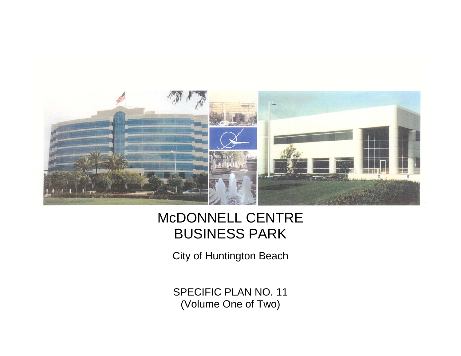

## McDONNELL CENTRE BUSINESS PARK

City of Huntington Beach

SPECIFIC PLAN NO. 11 (Volume One of Two)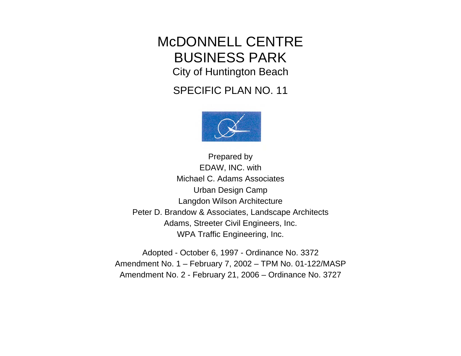## McDONNELL CENTRE BUSINESS PARK City of Huntington Beach

SPECIFIC PLAN NO. 11



Prepared by EDAW, INC. with Michael C. Adams Associates Urban Design Cam p Langdon Wilson Architecture Peter D. Brandow & Associates, Landscape Architects Adams, Streeter Civil Engineers, Inc. WPA Traffic Engineering, Inc.

Adopted - October 6, 1997 - Ordinance No. 3372 Amendment No. 1 – February 7, 2002 – TPM No. 01-122/MASP Amendment No. 2 - February 21, 2006 – Ordinance No. 3727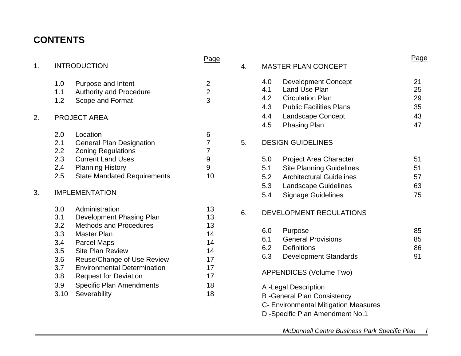## **CONTENTS**

| 1.                                                                         | <b>INTRODUCTION</b>                                                                                                                                                                                                                                                                                | Page                                                           |    |                                                                                                                                                                                                                                                                                                                              | Page                       |
|----------------------------------------------------------------------------|----------------------------------------------------------------------------------------------------------------------------------------------------------------------------------------------------------------------------------------------------------------------------------------------------|----------------------------------------------------------------|----|------------------------------------------------------------------------------------------------------------------------------------------------------------------------------------------------------------------------------------------------------------------------------------------------------------------------------|----------------------------|
|                                                                            |                                                                                                                                                                                                                                                                                                    |                                                                | 4. | <b>MASTER PLAN CONCEPT</b>                                                                                                                                                                                                                                                                                                   |                            |
| 1.0<br>1.1<br>1.2                                                          | Purpose and Intent<br><b>Authority and Procedure</b><br>Scope and Format                                                                                                                                                                                                                           | $\overline{2}$<br>$\overline{2}$<br>3                          |    | <b>Development Concept</b><br>4.0<br>4.1<br><b>Land Use Plan</b><br><b>Circulation Plan</b><br>4.2<br>4.3<br><b>Public Facilities Plans</b>                                                                                                                                                                                  | 21<br>25<br>29<br>35       |
| <b>PROJECT AREA</b><br>2.                                                  |                                                                                                                                                                                                                                                                                                    |                                                                |    | 4.4<br>Landscape Concept<br>4.5<br>Phasing Plan                                                                                                                                                                                                                                                                              | 43<br>47                   |
| 2.0<br>2.1<br>2.2<br>2.3<br>2.4<br>2.5<br>3.                               | Location<br><b>General Plan Designation</b><br><b>Zoning Regulations</b><br><b>Current Land Uses</b><br><b>Planning History</b><br><b>State Mandated Requirements</b><br><b>IMPLEMENTATION</b>                                                                                                     | 6<br>$\overline{7}$<br>7<br>9<br>9<br>10                       | 5. | <b>DESIGN GUIDELINES</b><br>5.0<br><b>Project Area Character</b><br>5.1<br><b>Site Planning Guidelines</b><br><b>Architectural Guidelines</b><br>5.2<br>5.3<br><b>Landscape Guidelines</b><br>5.4<br><b>Signage Guidelines</b>                                                                                               | 51<br>51<br>57<br>63<br>75 |
| 3.0<br>3.1<br>3.2<br>3.3<br>3.4<br>3.5<br>3.6<br>3.7<br>3.8<br>3.9<br>3.10 | Administration<br>Development Phasing Plan<br><b>Methods and Procedures</b><br>Master Plan<br><b>Parcel Maps</b><br><b>Site Plan Review</b><br>Reuse/Change of Use Review<br><b>Environmental Determination</b><br><b>Request for Deviation</b><br><b>Specific Plan Amendments</b><br>Severability | 13<br>13<br>13<br>14<br>14<br>14<br>17<br>17<br>17<br>18<br>18 | 6. | <b>DEVELOPMENT REGULATIONS</b><br>6.0<br>Purpose<br><b>General Provisions</b><br>6.1<br>6.2<br><b>Definitions</b><br>6.3<br><b>Development Standards</b><br>APPENDICES (Volume Two)<br>A -Legal Description<br><b>B</b> -General Plan Consistency<br>C- Environmental Mitigation Measures<br>D -Specific Plan Amendment No.1 | 85<br>85<br>86<br>91       |